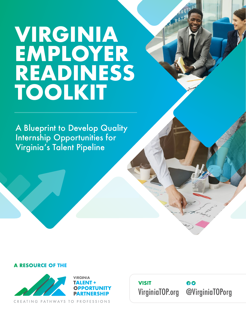# **VIRGINIA EMPLOYER READINESS TOOLKIT**

A Blueprint to Develop Quality Internship Opportunities for Virginia's Talent Pipeline

#### **A RESOURCE OF THE**



CREATING PATHWAYS TO PROFESSIONS

**VISIT** 60 VirginiaTOP.org @VirginiaTOPorg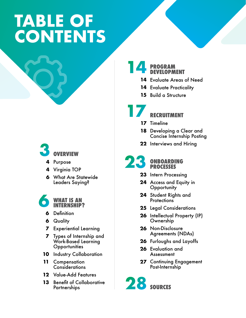# **TABLE OF CONTENTS**

# **3**

**OVERVIEW**

- **4** Purpose
- Virginia TOP **4**
- What Are Statewide **6** Leaders Saying?

**6**

#### **WHAT IS AN INTERNSHIP?**

- Definition **6**
- **6** Quality
- Experiential Learning **7**
- Types of Internship and **7** Work-Based Learning **Opportunities**
- **10** Industry Collaboration
- 11 Compensation **Considerations**
- Value-Add Features **12**
- **13** Benefit of Collaborative **Partnerships**

#### **PROGRAM DEVELOPMENT 14**

- 14 Evaluate Areas of Need
- **14** Evaluate Practicality
- **15** Build a Structure

## **RECRUITMENT 17**

- 17 Timeline
- **18** Developing a Clear and Concise Internship Posting
- **22** Interviews and Hiring

**ONBOARDING PROCESSES 23**

- **23** Intern Processing
- **24** Access and Equity in **Opportunity**
- **24** Student Rights and **Protections**
- **25** Legal Considerations
- **26** Intellectual Property (IP) Ownership
- Non-Disclosure **26** Agreements (NDAs)
- **26** Furloughs and Layoffs
- **26** Evaluation and Assessment
- **27** Continuing Engagement Post-Internship

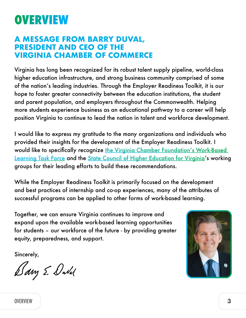## **OVERVIEW**

### **A MESSAGE FROM BARRY DUVAL, PRESIDENT AND CEO OF THE VIRGINIA CHAMBER OF COMMERCE**

Virginia has long been recognized for its robust talent supply pipeline, world-class higher education infrastructure, and strong business community comprised of some of the nation's leading industries. Through the Employer Readiness Toolkit, it is our hope to foster greater connectivity between the education institutions, the student and parent population, and employers throughout the Commonwealth. Helping more students experience business as an educational pathway to a career will help position Virginia to continue to lead the nation in talent and workforce development.

I would like to express my gratitude to the many organizations and individuals who provided their insights for the development of the Employer Readiness Toolkit. I would like to specifically recognize the Virginia Chamber Foundation's Work-Based [Learning Task Force](https://virginiatop.org/employers/) and the [State Council of Higher Education for Virginia'](https://schev.edu)s working groups for their leading efforts to build these recommendations.

While the Employer Readiness Toolkit is primarily focused on the development and best practices of internship and co-op experiences, many of the attributes of successful programs can be applied to other forms of work-based learning.

Together, we can ensure Virginia continues to improve and expand upon the available work-based learning opportunities for students – our workforce of the future - by providing greater equity, preparedness, and support.

Sincerely,

Dary E. Dubal

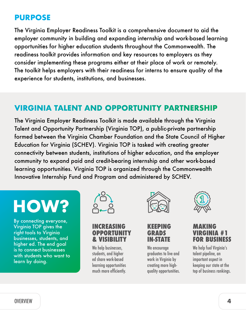## **PURPOSE**

The Virginia Employer Readiness Toolkit is a comprehensive document to aid the employer community in building and expanding internship and work-based learning opportunities for higher education students throughout the Commonwealth. The readiness toolkit provides information and key resources to employers as they consider implementing these programs either at their place of work or remotely. The toolkit helps employers with their readiness for interns to ensure quality of the experience for students, institutions, and businesses.

## **VIRGINIA TALENT AND OPPORTUNITY PARTNERSHIP**

The Virginia Employer Readiness Toolkit is made available through the Virginia Talent and Opportunity Partnership (Virginia TOP), a public-private partnership formed between the Virginia Chamber Foundation and the State Council of Higher Education for Virginia (SCHEV). Virginia TOP is tasked with creating greater connectivity between students, institutions of higher education, and the employer community to expand paid and credit-bearing internship and other work-based learning opportunities. Virginia TOP is organized through the Commonwealth Innovative Internship Fund and Program and administered by SCHEV.

# **HOW**

By connecting everyone, Virginia TOP gives the right tools to Virginia businesses, students, and higher ed. The end goal is to connect businesses with students who want to learn by doing.



#### **INCREASING OPPORTUNITY & VISIBILITY**

We help businesses. students, and higher ed share work-based learning opportunities much more efficiently.



#### **KEEPING GRADS IN-STATE**

We encourage graduates to live and work in Virginia by creating more highquality opportunities.



#### **MAKING VIRGINIA #1 FOR BUSINESS**

We help fuel Virginia's talent pipeline, an important aspect in keeping our state at the top of business rankings.

OVERVIEW **4**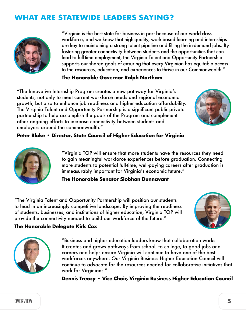## **WHAT ARE STATEWIDE LEADERS SAYING?**



"Virginia is the best state for business in part because of our world-class workforce, and we know that high-quality, work-based learning and internships are key to maintaining a strong talent pipeline and filling the in-demand jobs. By fostering greater connectivity between students and the opportunities that can lead to full-time employment, the Virginia Talent and Opportunity Partnership supports our shared goals of ensuring that every Virginian has equitable access to the resources, education, and experiences to thrive in our Commonwealth."

#### **The Honorable Governor Ralph Northam**

"The Innovative Internship Program creates a new pathway for Virginia's students, not only to meet current workforce needs and regional economic growth, but also to enhance job readiness and higher education affordability. The Virginia Talent and Opportunity Partnership is a significant public-private partnership to help accomplish the goals of the Program and complement other ongoing efforts to increase connectivity between students and employers around the commonwealth."



#### **Peter Blake • Director, State Council of Higher Education for Virginia**



"Virginia TOP will ensure that more students have the resources they need to gain meaningful workforce experiences before graduation. Connecting more students to potential full-time, well-paying careers after graduation is immeasurably important for Virginia's economic future."

#### **The Honorable Senator Siobhan Dunnavant**

"The Virginia Talent and Opportunity Partnership will position our students to lead in an increasingly competitive landscape. By improving the readiness of students, businesses, and institutions of higher education, Virginia TOP will provide the connectivity needed to build our workforce of the future."





**The Honorable Delegate Kirk Cox**

"Business and higher education leaders know that collaboration works. It creates and grows pathways from school, to college, to good jobs and careers and helps ensure Virginia will continue to have one of the best workforces anywhere. Our Virginia Business Higher Education Council will continue to advocate for the resources needed for collaborative initiatives that work for Virginians."

**Dennis Treacy • Vice Chair, Virginia Business Higher Education Council**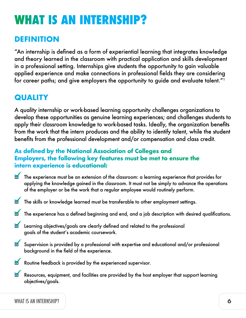# **WHAT IS AN INTERNSHIP?**

## **DEFINITION**

"An internship is defined as a form of experiential learning that integrates knowledge and theory learned in the classroom with practical application and skills development in a professional setting. Internships give students the opportunity to gain valuable applied experience and make connections in professional fields they are considering for career paths; and give employers the opportunity to guide and evaluate talent."<sup>1</sup>

## **QUALITY**

A quality internship or work-based learning opportunity challenges organizations to develop these opportunities as genuine learning experiences; and challenges students to apply their classroom knowledge to work-based tasks. Ideally, the organization benefits from the work that the intern produces and the ability to identify talent, while the student benefits from the professional development and/or compensation and class credit.

#### **As defined by the National Association of Colleges and Employers, the following key features must be met to ensure the intern experience is educational:**

- The experience must be an extension of the classroom: a learning experience that provides for applying the knowledge gained in the classroom. It must not be simply to advance the operations of the employer or be the work that a regular employee would routinely perform.
- The skills or knowledge learned must be transferable to other employment settings.
- The experience has a defined beginning and end, and a job description with desired qualifications.
- Learning objectives/goals are clearly defined and related to the professional goals of the student's academic coursework.
- Supervision is provided by a professional with expertise and educational and/or professional background in the field of the experience.
- Routine feedback is provided by the experienced supervisor.
- Resources, equipment, and facilities are provided by the host employer that support learning objectives/goals.

#### WHAT IS AN INTERNSHIP? **6**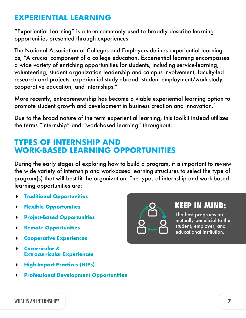## **EXPERIENTIAL LEARNING**

"Experiential Learning" is a term commonly used to broadly describe learning opportunities presented through experiences.

The National Association of Colleges and Employers defines experiential learning as, "A crucial component of a college education. Experiential learning encompasses a wide variety of enriching opportunities for students, including service-learning, volunteering, student organization leadership and campus involvement, faculty-led research and projects, experiential study-abroad, student employment/work-study, cooperative education, and internships."

More recently, entrepreneurship has become a viable experiential learning option to promote student growth and development in business creation and innovation.<sup>2</sup>

Due to the broad nature of the term experiential learning, this toolkit instead utilizes the terms "internship" and "work-based learning" throughout.

## **TYPES OF INTERNSHIP AND WORK-BASED LEARNING OPPORTUNITIES**

During the early stages of exploring how to build a program, it is important to review the wide variety of internship and work-based learning structures to select the type of program(s) that will best fit the organization. The types of internship and work-based learning opportunities are:

- **Traditional Opportunities**
- **Flexible Opportunities**
- **Project-Based Opportunities**
- **Remote Opportunities**
- **Cooperative Experiences**
- **Cocurricular & Extracurricular Experiences**
- **High-Impact Practices (HIPs)**
- **Professional Development Opportunities**



## **KEEP IN MIND:**

The best programs are mutually beneficial to the student, employer, and educational institution.

WHAT IS AN INTERNSHIP?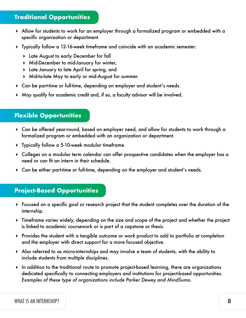### **Traditional Opportunities**

- Allow for students to work for an employer through a formalized program or embedded with a specific organization or department.
- Typically follow a 12-16-week timeframe and coincide with an academic semester:
	- Late August to early December for fall
	- Mid-December to mid-January for winter,
	- Late January to late April for spring, and
	- Mid-to-late May to early or mid-August for summer.
- Can be part-time or full-time, depending on employer and student's needs.
- May qualify for academic credit and, if so, a faculty advisor will be involved.

#### **Flexible Opportunities**

- Can be offered year-round, based on employer need, and allow for students to work through a formalized program or embedded with an organization or department.
- Typically follow a 5-10-week modular timeframe.
- Colleges on a modular term calendar can offer prospective candidates when the employer has a need or can fit an intern in their schedule.
- Can be either part-time or full-time, depending on the employer and student's needs.

#### **Project-Based Opportunities**

- Focused on a specific goal or research project that the student completes over the duration of the internship.
- Timeframe varies widely, depending on the size and scope of the project and whether the project is linked to academic coursework or is part of a capstone or thesis.
- Provides the student with a tangible outcome or work product to add to portfolio at completion and the employer with direct support for a more focused objective.
- Also referred to as micro-internships and may involve a team of students, with the ability to include students from multiple disciplines.
- In addition to the traditional route to promote project-based learning, there are organizations dedicated specifically to connecting employers and institutions for project-based opportunities. *Examples of these type of organizations include Parker Dewey and MindSumo.*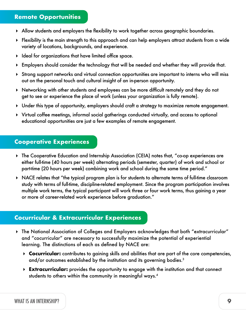#### **Remote Opportunities**

- Allow students and employers the flexibility to work together across geographic boundaries.
- Flexibility is the main strength to this approach and can help employers attract students from a wide variety of locations, backgrounds, and experience.
- $\blacktriangleright$  Ideal for organizations that have limited office space.
- Employers should consider the technology that will be needed and whether they will provide that.
- Strong support networks and virtual connection opportunities are important to interns who will miss out on the personal touch and cultural insight of an in-person opportunity.
- Networking with other students and employees can be more difficult remotely and they do not get to see or experience the place of work (unless your organization is fully remote).
- Under this type of opportunity, employers should craft a strategy to maximize remote engagement.
- Virtual coffee meetings, informal social gatherings conducted virtually, and access to optional educational opportunities are just a few examples of remote engagement.

#### **Cooperative Experiences**

- The Cooperative Education and Internship Association (CEIA) notes that, "co-op experiences are either full-time (40 hours per week) alternating periods (semester, quarter) of work and school or part-time (20 hours per week) combining work and school during the same time period."
- NACE relates that "the typical program plan is for students to alternate terms of full-time classroom study with terms of full-time, discipline-related employment. Since the program participation involves multiple work terms, the typical participant will work three or four work terms, thus gaining a year or more of career-related work experience before graduation."

#### **Cocurricular & Extracurricular Experiences**

- The National Association of Colleges and Employers acknowledges that both "extracurricular" and "cocurricular" are necessary to successfully maximize the potential of experiential learning. The distinctions of each as defined by NACE are:
	- **Cocurricular:** contributes to gaining skills and abilities that are part of the core competencies, and/or outcomes established by the institution and its governing bodies.<sup>3</sup>
	- **Extracurricular:** provides the opportunity to engage with the institution and that connect students to others within the community in meaningful ways.4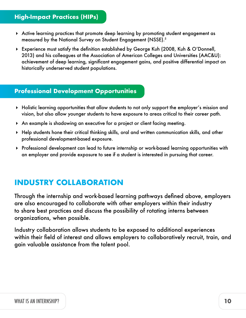### **High-Impact Practices (HIPs)**

- Active learning practices that promote deep learning by promoting student engagement as measured by the National Survey on Student Engagement (NSSE).5
- Experience must satisfy the definition established by George Kuh (2008, Kuh & O'Donnell, 2013) and his colleagues at the Association of American Colleges and Universities (AAC&U): achievement of deep learning, significant engagement gains, and positive differential impact on historically underserved student populations.

#### **Professional Development Opportunities**

- Holistic learning opportunities that allow students to not only support the employer's mission and vision, but also allow younger students to have exposure to areas critical to their career path.
- An example is shadowing an executive for a project or client facing meeting.
- Help students hone their critical thinking skills, oral and written communication skills, and other professional development-based exposure.
- Professional development can lead to future internship or work-based learning opportunities with an employer and provide exposure to see if a student is interested in pursuing that career.

## **INDUSTRY COLLABORATION**

Through the internship and work-based learning pathways defined above, employers are also encouraged to collaborate with other employers within their industry to share best practices and discuss the possibility of rotating interns between organizations, when possible.

Industry collaboration allows students to be exposed to additional experiences within their field of interest and allows employers to collaboratively recruit, train, and gain valuable assistance from the talent pool.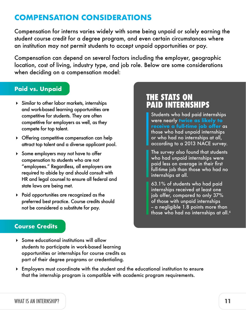## **COMPENSATION CONSIDERATIONS**

Compensation for interns varies widely with some being unpaid or solely earning the student course credit for a degree program, and even certain circumstances where an institution may not permit students to accept unpaid opportunities or pay.

Compensation can depend on several factors including the employer, geographic location, cost of living, industry type, and job role. Below are some considerations when deciding on a compensation model:

#### **Paid vs. Unpaid**

- Similar to other labor markets, internships and work-based learning opportunities are competitive for students. They are often competitive for employers as well, as they compete for top talent.
- Offering competitive compensation can help attract top talent and a diverse applicant pool.
- Some employers may not have to offer compensation to students who are not "employees." Regardless, all employers are required to abide by and should consult with HR and legal counsel to ensure all federal and state laws are being met.
- Paid opportunities are recognized as the preferred best practice. Course credits should not be considered a substitute for pay.

## **THE STATS ON PAID INTERNSHIPS**

Students who had paid internships were nearly **twice as likely to receive a full-time job offer** as those who had unpaid internships or who had no internships at all, according to a 2013 NACE survey.

The survey also found that students who had unpaid internships were paid less on average in their first full-time job than those who had no internships at all.

63.1% of students who had paid internships received at least one job offer, compared to only 37% of those with unpaid internships - a negligible 1.8 points more than those who had no internships at all.<sup>6</sup>

#### **Course Credits**

- Some educational institutions will allow students to participate in work-based learning opportunities or internships for course credits as part of their degree programs or credentialing.
- Employers must coordinate with the student and the educational institution to ensure that the internship program is compatible with academic program requirements.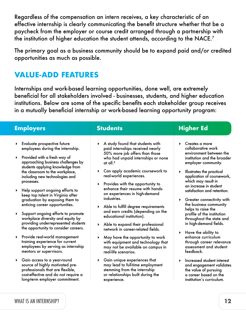Regardless of the compensation an intern receives, a key characteristic of an effective internship is clearly communicating the benefit structure whether that be a paycheck from the employer or course credit arranged through a partnership with the institution of higher education the student attends, according to the NACE.<sup>7</sup>

The primary goal as a business community should be to expand paid and/or credited opportunities as much as possible.

## **VALUE-ADD FEATURES**

Internships and work-based learning opportunities, done well, are extremely beneficial for all stakeholders involved - businesses, students, and higher education institutions. Below are some of the specific benefits each stakeholder group receives in a mutually beneficial internship or work-based learning opportunity program:

| <b>Employers</b>                                                                                                                                                                                                                                                                                                                                                                                                                               | <b>Students</b>                                                                                                                                                                                                                                                                                                                                                                                                                                                       | <b>Higher Ed</b>                                                                                                                                                                                                                                                                                                                                                                                               |
|------------------------------------------------------------------------------------------------------------------------------------------------------------------------------------------------------------------------------------------------------------------------------------------------------------------------------------------------------------------------------------------------------------------------------------------------|-----------------------------------------------------------------------------------------------------------------------------------------------------------------------------------------------------------------------------------------------------------------------------------------------------------------------------------------------------------------------------------------------------------------------------------------------------------------------|----------------------------------------------------------------------------------------------------------------------------------------------------------------------------------------------------------------------------------------------------------------------------------------------------------------------------------------------------------------------------------------------------------------|
| Evaluate prospective future<br>employees during the internship.<br>Provided with a fresh way of<br>approaching business challenges by<br>students applying knowledge from<br>the classroom to the workplace,<br>including new technologies and<br>processes.<br>Help support ongoing efforts to<br>keep top talent in Virginia after<br>graduation by exposing them to<br>enticing career opportunities.<br>Support ongoing efforts to promote | A study found that students with<br>paid internships received nearly<br>50% more job offers than those<br>who had unpaid internships or none<br>at all. <sup>8</sup><br>Can apply academic coursework to<br>real-world experiences.<br>Provides with the opportunity to<br>enhance their resume with hands-<br>on experiences in high-demand<br>industries.<br>Able to fulfill degree requirements<br>and earn credits (depending on the<br>educational institution). | Creates a more<br>▶<br>collaborative work<br>environment between the<br>institution and the broader<br>employer community.<br>Illustrates the practical<br>$\blacktriangleright$<br>application of coursework,<br>which may result in<br>an increase in student<br>satisfaction and retention.<br>Greater connectivity with<br>▶<br>the business community<br>helps to raise the<br>profile of the institution |
| workplace diversity and equity by<br>providing underrepresented students<br>the opportunity to consider careers.<br>Provide real-world management<br>training experience for current<br>employees by serving as internship<br>mentors or supervisors.                                                                                                                                                                                          | Able to expand their professional<br>network in career-related fields.<br>May have the opportunity to work<br>with equipment and technology that<br>may not be available on campus in<br>real-life scenarios.                                                                                                                                                                                                                                                         | throughout the state and<br>in high-demand fields.<br>Have the ability to<br>▶<br>enhance curriculum<br>through career relevance<br>assessment and student<br>feedback.                                                                                                                                                                                                                                        |
| Gain access to a year-round<br>▶<br>source of highly motivated pre-<br>professionals that are flexible,<br>cost-effective and do not require a<br>long-term employer commitment.                                                                                                                                                                                                                                                               | Gain unique experiences that<br>▶<br>may lead to full-time employment<br>stemming from the internship<br>or relationships built during the<br>experience.                                                                                                                                                                                                                                                                                                             | Increased student interest<br>$\blacktriangleright$<br>and engagement validates<br>the value of pursuing<br>a career based on the<br>institution's curriculum.                                                                                                                                                                                                                                                 |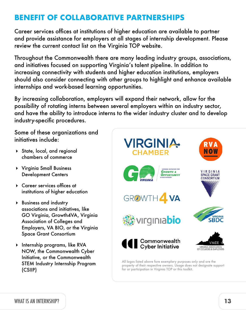## **BENEFIT OF COLLABORATIVE PARTNERSHIPS**

Career services offices at institutions of higher education are available to partner and provide assistance for employers at all stages of internship development. Please review the current contact list on the Virginia TOP website.

Throughout the Commonwealth there are many leading industry groups, associations, and initiatives focused on supporting Virginia's talent pipeline. In addition to increasing connectivity with students and higher education institutions, employers should also consider connecting with other groups to highlight and enhance available internships and work-based learning opportunities.

By increasing collaboration, employers will expand their network, allow for the possibility of rotating interns between several employers within an industry sector, and have the ability to introduce interns to the wider industry cluster and to develop industry-specific procedures.

Some of these organizations and initiatives include:

- State, local, and regional chambers of commerce
- Virginia Small Business Development Centers
- Career services offices at institutions of higher education
- Business and industry associations and initiatives, like GO Virginia, Growth4VA, Virginia Association of Colleges and Employers, VA BIO, or the Virginia Space Grant Consortium
- **Internship programs, like RVA** NOW, the Commonwealth Cyber Initiative, or the Commonwealth STEM Industry Internship Program (CSIIP)



property of their respective owners. Usage does not designate support for or participation in Virginia TOP or this toolkit.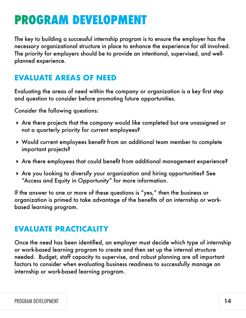## **PROGRAM DEVELOPMENT**

The key to building a successful internship program is to ensure the employer has the necessary organizational structure in place to enhance the experience for all involved. The priority for employers should be to provide an intentional, supervised, and wellplanned experience.

## **EVALUATE AREAS OF NEED**

Evaluating the areas of need within the company or organization is a key first step and question to consider before promoting future opportunities.

Consider the following questions:

- Are there projects that the company would like completed but are unassigned or not a quarterly priority for current employees?
- Would current employees benefit from an additional team member to complete important projects?
- Are there employees that could benefit from additional management experience?
- Are you looking to diversify your organization and hiring opportunities? See "Access and Equity in Opportunity" for more information.

If the answer to one or more of these questions is "yes," then the business or organization is primed to take advantage of the benefits of an internship or workbased learning program.

## **EVALUATE PRACTICALITY**

Once the need has been identified, an employer must decide which type of internship or work-based learning program to create and then set up the internal structure needed. Budget, staff capacity to supervise, and robust planning are all important factors to consider when evaluating business readiness to successfully manage an internship or work-based learning program.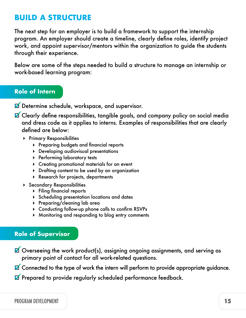## **BUILD A STRUCTURE**

The next step for an employer is to build a framework to support the internship program. An employer should create a timeline, clearly define roles, identify project work, and appoint supervisor/mentors within the organization to guide the students through their experience.

Below are some of the steps needed to build a structure to manage an internship or work-based learning program:

#### **Role of Intern**

Determine schedule, workspace, and supervisor.

- **Z** Clearly define responsibilities, tangible goals, and company policy on social media and dress code as it applies to interns. Examples of responsibilities that are clearly defined are below:
	- **Primary Responsibilities** 
		- Preparing budgets and financial reports
		- Developing audiovisual presentations
		- **Performing laboratory tests**
		- Creating promotional materials for an event
		- Drafting content to be used by an organization
		- Research for projects, departments
	- Secondary Responsibilities
		- Filing financial reports
		- **Scheduling presentation locations and dates**
		- Preparing/cleaning lab area
		- Conducting follow-up phone calls to confirm RSVPs
		- Monitoring and responding to blog entry comments

#### **Role of Supervisor**

Overseeing the work product(s), assigning ongoing assignments, and serving as primary point of contact for all work-related questions.

**Z** Connected to the type of work the intern will perform to provide appropriate guidance.

Prepared to provide regularly scheduled performance feedback.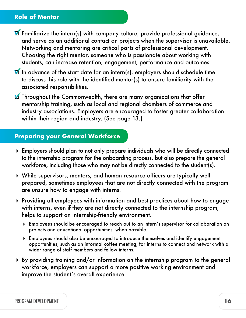#### **Role of Mentor**

- $\blacksquare$  Familiarize the intern(s) with company culture, provide professional guidance, and serve as an additional contact on projects when the supervisor is unavailable. Networking and mentoring are critical parts of professional development. Choosing the right mentor, someone who is passionate about working with students, can increase retention, engagement, performance and outcomes.
- $\blacksquare$  In advance of the start date for an intern(s), employers should schedule time to discuss this role with the identified mentor(s) to ensure familiarity with the associated responsibilities.
- $\blacksquare$  Throughout the Commonwealth, there are many organizations that offer mentorship training, such as local and regional chambers of commerce and industry associations. Employers are encouraged to foster greater collaboration within their region and industry. (See page 13.)

#### **Preparing your General Workforce**

- Employers should plan to not only prepare individuals who will be directly connected to the internship program for the onboarding process, but also prepare the general workforce, including those who may not be directly connected to the student(s).
- While supervisors, mentors, and human resource officers are typically well prepared, sometimes employees that are not directly connected with the program are unsure how to engage with interns.
- Providing all employees with information and best practices about how to engage with interns, even if they are not directly connected to the internship program, helps to support an internship-friendly environment.
	- Employees should be encouraged to reach out to an intern's supervisor for collaboration on projects and educational opportunities, when possible.
	- Employees should also be encouraged to introduce themselves and identify engagement opportunities, such as an informal coffee meeting, for interns to connect and network with a wider range of staff members and fellow interns.
- By providing training and/or information on the internship program to the general workforce, employers can support a more positive working environment and improve the student's overall experience.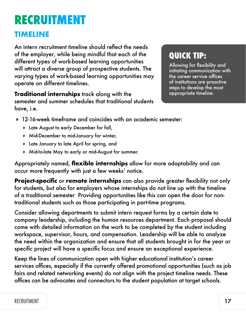## **RECRUITMENT**

## **TIMELINE**

An intern recruitment timeline should reflect the needs of the employer, while being mindful that each of the different types of work-based learning opportunities will attract a diverse group of prospective students. The varying types of work-based learning opportunities may operate on different timelines.

**Traditional internships** track along with the semester and summer schedules that traditional students have, i.e.

## **QUICK TIP:**

Allowing for flexibility and initiating communication with the career service offices of institutions are proactive steps to develop the most appropriate timeline.

- 12-16-week timeframe and coincides with an academic semester:
	- Late August to early December for fall,
	- Mid-December to mid-January for winter,
	- Late January to late April for spring, and
	- Mid-to-late May to early or mid-August for summer.

Appropriately named, **flexible internships** allow for more adaptability and can occur more frequently with just a few weeks' notice.

**Project-specific** or **remote internships** can also provide greater flexibility not only for students, but also for employers whose internships do not line up with the timeline of a traditional semester Providing opportunities like this can open the door for nontraditional students such as those participating in part-time programs.

Consider allowing departments to submit intern request forms by a certain date to company leadership, including the human resources department. Each proposal should come with detailed information on the work to be completed by the student including workspace, supervisor, hours, and compensation. Leadership will be able to analyze the need within the organization and ensure that all students brought in for the year or specific project will have a specific focus and ensure an exceptional experience.

Keep the lines of communication open with higher educational institution's career services offices, especially if the currently offered promotional opportunities (such as job fairs and related networking events) do not align with the project timeline needs. These offices can be advocates and connectors to the student population at target schools.

### RECRUITMENT **17**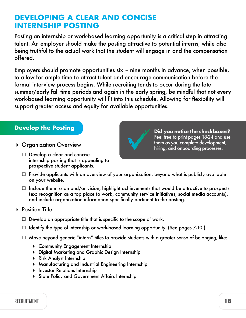## **DEVELOPING A CLEAR AND CONCISE INTERNSHIP POSTING**

Posting an internship or work-based learning opportunity is a critical step in attracting talent. An employer should make the posting attractive to potential interns, while also being truthful to the actual work that the student will engage in and the compensation offered.

Employers should promote opportunities six – nine months in advance, when possible, to allow for ample time to attract talent and encourage communication before the formal interview process begins. While recruiting tends to occur during the late summer/early fall time periods and again in the early spring, be mindful that not every work-based learning opportunity will fit into this schedule. Allowing for flexibility will support greater access and equity for available opportunities.

#### **Develop the Posting**

- ▶ Organization Overview
	- $\Box$  Develop a clear and concise internship posting that is appealing to prospective student applicants.



 $\Box$  Include the mission and/or vision, highlight achievements that would be attractive to prospects (ex: recognition as a top place to work, community service initiatives, social media accounts), and include organization information specifically pertinent to the posting.

#### ▶ Position Title

- $\Box$  Develop an appropriate title that is specific to the scope of work.
- $\Box$  Identify the type of internship or work-based learning opportunity. (See pages 7-10.)
- $\Box$  Move beyond generic "intern" titles to provide students with a greater sense of belonging, like:
	- Community Engagement Internship
	- Digital Marketing and Graphic Design Internship
	- Risk Analyst Internship
	- Manufacturing and Industrial Engineering Internship
	- **Investor Relations Internship**
	- State Policy and Government Affairs Internship

RECRUITMENT **18**



**Did you notice the checkboxes?** Feel free to print pages 18-24 and use them as you complete development, hiring, and onboarding processes.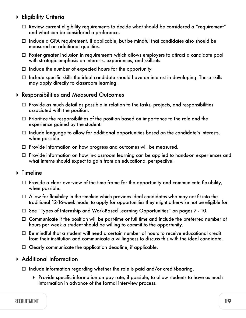- Eligibility Criteria
	- $\Box$  Review current eligibility requirements to decide what should be considered a "requirement" and what can be considered a preference.
	- $\Box$  Include a GPA requirement, if applicable, but be mindful that candidates also should be measured on additional qualities.
	- $\Box$  Foster greater inclusion in requirements which allows employers to attract a candidate pool with strategic emphasis on interests, experiences, and skillsets.
	- $\Box$  Include the number of expected hours for the opportunity.
	- $\Box$  Include specific skills the ideal candidate should have an interest in developing. These skills may apply directly to classroom learning.
- Responsibilities and Measured Outcomes
	- $\Box$  Provide as much detail as possible in relation to the tasks, projects, and responsibilities associated with the position.
	- $\Box$  Prioritize the responsibilities of the position based on importance to the role and the experience gained by the student.
	- $\Box$  Include language to allow for additional opportunities based on the candidate's interests, when possible.
	- $\Box$  Provide information on how progress and outcomes will be measured.
	- $\Box$  Provide information on how in-classroom learning can be applied to hands-on experiences and what interns should expect to gain from an educational perspective.
- ▶ Timeline
	- $\Box$  Provide a clear overview of the time frame for the opportunity and communicate flexibility, when possible.
	- $\Box$  Allow for flexibility in the timeline which provides ideal candidates who may not fit into the traditional 12-16-week model to apply for opportunities they might otherwise not be eligible for.
	- □ See "Types of Internship and Work-Based Learning Opportunities" on pages 7 10.
	- Communicate if the position will be part-time or full time and include the preferred number of hours per week a student should be willing to commit to the opportunity.
	- $\Box$  Be mindful that a student will need a certain number of hours to receive educational credit from their institution and communicate a willingness to discuss this with the ideal candidate.
	- $\Box$  Clearly communicate the application deadline, if applicable.
- Additional Information
	- $\Box$  Include information regarding whether the role is paid and/or credit-bearing.
		- $\blacktriangleright$  Provide specific information on pay rate, if possible, to allow students to have as much information in advance of the formal interview process.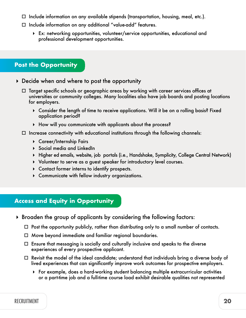- $\Box$  Include information on any available stipends (transportation, housing, meal, etc.).
- $\Box$  Include information on any additional "value-add" features.
	- Ex: networking opportunities, volunteer/service opportunities, educational and professional development opportunities.
- **Post the Opportunity**
- Decide when and where to post the opportunity
	- $\Box$  Target specific schools or geographic areas by working with career services offices at universities or community colleges. Many localities also have job boards and posting locations for employers.
		- Consider the length of time to receive applications. Will it be on a rolling basis? Fixed application period?
		- How will you communicate with applicants about the process?
	- $\Box$  Increase connectivity with educational institutions through the following channels:
		- Career/Internship Fairs
		- ▶ Social media and LinkedIn
		- Higher ed emails, website, job portals (i.e., Handshake, Symplicity, College Central Network)
		- Volunteer to serve as a guest speaker for introductory level courses.
		- Contact former interns to identify prospects.
		- Communicate with fellow industry organizations.

#### **Access and Equity in Opportunity**

- Broaden the group of applicants by considering the following factors:
	- $\Box$  Post the opportunity publicly, rather than distributing only to a small number of contacts.
	- $\Box$  Move beyond immediate and familiar regional boundaries.
	- $\Box$  Ensure that messaging is socially and culturally inclusive and speaks to the diverse experiences of every prospective applicant.
	- $\Box$  Revisit the model of the ideal candidate; understand that individuals bring a diverse body of lived experiences that can significantly improve work outcomes for prospective employers.
		- For example, does a hard-working student balancing multiple extracurricular activities or a part-time job and a full-time course load exhibit desirable qualities not represented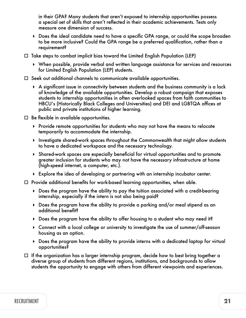in their GPA? Many students that aren't exposed to internship opportunities possess a special set of skills that aren't reflected in their academic achievements. Tests only measure one dimension of success.

- Does the ideal candidate need to have a specific GPA range, or could the scope broaden to be more inclusive? Could the GPA range be a preferred qualification, rather than a requirement?
- $\Box$  Take steps to combat implicit bias toward the Limited English Population (LEP)
	- When possible, provide verbal and written language assistance for services and resources for Limited English Population (LEP) students.
- $\Box$  Seek out additional channels to communicate available opportunities.
	- A significant issue in connectivity between students and the business community is a lack of knowledge of the available opportunities. Develop a robust campaign that exposes students to internship opportunities in often overlooked spaces from faith communities to HBCU's (Historically Black Colleges and Universities) and DEI and LGBTQA offices at public and private institutions of higher learning.
- $\Box$  Be flexible in available opportunities.
	- Provide remote opportunities for students who may not have the means to relocate temporarily to accommodate the internship.
	- Investigate shared-work spaces throughout the Commonwealth that might allow students to have a dedicated workspace and the necessary technology.
	- Shared-work spaces are especially beneficial for virtual opportunities and to promote greater inclusion for students who may not have the necessary infrastructure at home (high-speed internet, a computer, etc.).
	- Explore the idea of developing or partnering with an internship incubator center.
- $\Box$  Provide additional benefits for work-based learning opportunities, when able.
	- Does the program have the ability to pay the tuition associated with a credit-bearing internship, especially if the intern is not also being paid?
	- Does the program have the ability to provide a parking and/or meal stipend as an additional benefit?
	- Does the program have the ability to offer housing to a student who may need it?
	- Connect with a local college or university to investigate the use of summer/off-season housing as an option.
	- Does the program have the ability to provide interns with a dedicated laptop for virtual opportunities?
- $\Box$  If the organization has a larger internship program, decide how to best bring together a diverse group of students from different regions, institutions, and backgrounds to allow students the opportunity to engage with others from different viewpoints and experiences.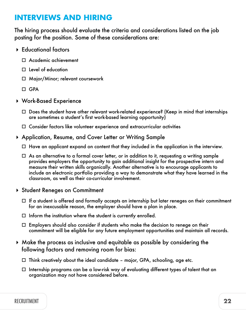## **INTERVIEWS AND HIRING**

The hiring process should evaluate the criteria and considerations listed on the job posting for the position. Some of these considerations are:

- Educational factors
	- Academic achievement
	- $\Box$  Level of education
	- □ Major/Minor; relevant coursework
	- $\Box$  GPA
- Work-Based Experience
	- $\Box$  Does the student have other relevant work-related experience? (Keep in mind that internships are sometimes a student's first work-based learning opportunity)
	- $\Box$  Consider factors like volunteer experience and extracurricular activities
- Application, Resume, and Cover Letter or Writing Sample
	- $\Box$  Have an applicant expand on content that they included in the application in the interview.
	- $\Box$  As an alternative to a formal cover letter, or in addition to it, requesting a writing sample provides employers the opportunity to gain additional insight for the prospective intern and measure their written skills organically. Another alternative is to encourage applicants to include an electronic portfolio providing a way to demonstrate what they have learned in the classroom, as well as their co-curricular involvement.
- ▶ Student Reneges on Commitment
	- $\Box$  If a student is offered and formally accepts an internship but later reneges on their commitment for an inexcusable reason, the employer should have a plan in place.
	- $\Box$  Inform the institution where the student is currently enrolled.
	- $\Box$  Employers should also consider if students who make the decision to renege on their commitment will be eligible for any future employment opportunities and maintain all records.
- Make the process as inclusive and equitable as possible by considering the following factors and removing room for bias:
	- $\Box$  Think creatively about the ideal candidate major, GPA, schooling, age etc.
	- $\Box$  Internship programs can be a low-risk way of evaluating different types of talent that an organization may not have considered before.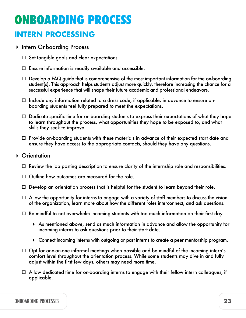# **ONBOARDING PROCESS**

## **INTERN PROCESSING**

- **Intern Onboarding Process** 
	- $\Box$  Set tangible goals and clear expectations.
	- $\Box$  Ensure information is readily available and accessible.
	- $\Box$  Develop a FAQ guide that is comprehensive of the most important information for the on-boarding student(s). This approach helps students adjust more quickly, therefore increasing the chance for a successful experience that will shape their future academic and professional endeavors.
	- $\Box$  Include any information related to a dress code, if applicable, in advance to ensure onboarding students feel fully prepared to meet the expectations.
	- $\Box$  Dedicate specific time for on-boarding students to express their expectations of what they hope to learn throughout the process, what opportunities they hope to be exposed to, and what skills they seek to improve.
	- $\Box$  Provide on-boarding students with these materials in advance of their expected start date and ensure they have access to the appropriate contacts, should they have any questions.

#### ▶ Orientation

- $\Box$  Review the job posting description to ensure clarity of the internship role and responsibilities.
- $\Box$  Outline how outcomes are measured for the role.
- $\Box$  Develop an orientation process that is helpful for the student to learn beyond their role.
- $\Box$  Allow the opportunity for interns to engage with a variety of staff members to discuss the vision of the organization, learn more about how the different roles interconnect, and ask questions.
- $\Box$  Be mindful to not overwhelm incoming students with too much information on their first day.
	- As mentioned above, send as much information in advance and allow the opportunity for incoming interns to ask questions prior to their start date.
	- Connect incoming interns with outgoing or past interns to create a peer mentorship program.
- $\Box$  Opt for one-on-one informal meetings when possible and be mindful of the incoming intern's comfort level throughout the orientation process. While some students may dive in and fully adjust within the first few days, others may need more time.
- $\Box$  Allow dedicated time for on-boarding interns to engage with their fellow intern colleagues, if applicable.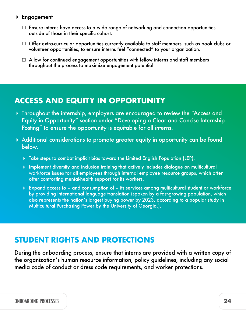#### Engagement

- $\Box$  Ensure interns have access to a wide range of networking and connection opportunities outside of those in their specific cohort.
- $\Box$  Offer extra-curricular opportunities currently available to staff members, such as book clubs or volunteer opportunities, to ensure interns feel "connected" to your organization.
- $\Box$  Allow for continued engagement opportunities with fellow interns and staff members throughout the process to maximize engagement potential.

## **ACCESS AND EQUITY IN OPPORTUNITY**

- Throughout the internship, employers are encouraged to review the "Access and Equity in Opportunity" section under "Developing a Clear and Concise Internship Posting" to ensure the opportunity is equitable for all interns.
- Additional considerations to promote greater equity in opportunity can be found below.
	- Take steps to combat implicit bias toward the Limited English Population (LEP).
	- Inplement diversity and inclusion training that actively includes dialogue on multicultural workforce issues for all employees through internal employee resource groups, which often offer comforting mental-health support for its workers.
	- Expand access to and consumption of its services among multicultural student or workforce by providing international language translation (spoken by a fast-growing population, which also represents the nation's largest buying power by 2023, according to a popular study in Multicultural Purchasing Power by the University of Georgia.).

## **STUDENT RIGHTS AND PROTECTIONS**

During the onboarding process, ensure that interns are provided with a written copy of the organization's human resource information, policy guidelines, including any social media code of conduct or dress code requirements, and worker protections.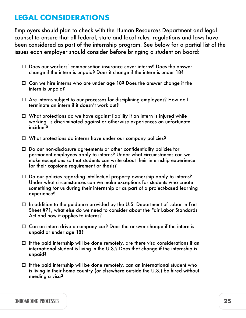## **LEGAL CONSIDERATIONS**

Employers should plan to check with the Human Resources Department and legal counsel to ensure that all federal, state and local rules, regulations and laws have been considered as part of the internship program. See below for a partial list of the issues each employer should consider before bringing a student on board:

- □ Does our workers' compensation insurance cover interns? Does the answer change if the intern is unpaid? Does it change if the intern is under 18?
- $\Box$  Can we hire interns who are under age 18? Does the answer change if the intern is unpaid?
- □ Are interns subject to our processes for disciplining employees? How do I terminate an intern if it doesn't work out?
- $\Box$  What protections do we have against liability if an intern is injured while working, is discriminated against or otherwise experiences an unfortunate incident?
- □ What protections do interns have under our company policies?
- $\Box$  Do our non-disclosure agreements or other confidentiality policies for permanent employees apply to interns? Under what circumstances can we make exceptions so that students can write about their internship experience for their capstone requirement or thesis?
- $\Box$  Do our policies regarding intellectual property ownership apply to interns? Under what circumstances can we make exceptions for students who create something for us during their internship or as part of a project-based learning experience?
- $\Box$  In addition to the guidance provided by the U.S. Department of Labor in Fact Sheet #71, what else do we need to consider about the Fair Labor Standards Act and how it applies to interns?
- $\Box$  Can an intern drive a company car? Does the answer change if the intern is unpaid or under age 18?
- $\Box$  If the paid internship will be done remotely, are there visa considerations if an international student is living in the U.S.? Does that change if the internship is unpaid?
- $\Box$  If the paid internship will be done remotely, can an international student who is living in their home country (or elsewhere outside the U.S.) be hired without needing a visa?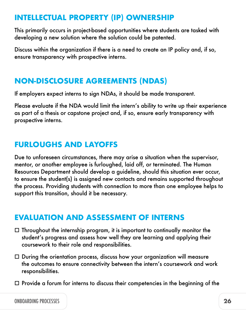## **INTELLECTUAL PROPERTY (IP) OWNERSHIP**

This primarily occurs in project-based opportunities where students are tasked with developing a new solution where the solution could be patented.

Discuss within the organization if there is a need to create an IP policy and, if so, ensure transparency with prospective interns.

## **NON-DISCLOSURE AGREEMENTS (NDAS)**

If employers expect interns to sign NDAs, it should be made transparent.

Please evaluate if the NDA would limit the intern's ability to write up their experience as part of a thesis or capstone project and, if so, ensure early transparency with prospective interns.

## **FURLOUGHS AND LAYOFFS**

Due to unforeseen circumstances, there may arise a situation when the supervisor, mentor, or another employee is furloughed, laid off, or terminated. The Human Resources Department should develop a guideline, should this situation ever occur, to ensure the student(s) is assigned new contacts and remains supported throughout the process. Providing students with connection to more than one employee helps to support this transition, should it be necessary.

## **EVALUATION AND ASSESSMENT OF INTERNS**

- $\Box$  Throughout the internship program, it is important to continually monitor the student's progress and assess how well they are learning and applying their coursework to their role and responsibilities.
- $\Box$  During the orientation process, discuss how your organization will measure the outcomes to ensure connectivity between the intern's coursework and work responsibilities.
- $\square$  Provide a forum for interns to discuss their competencies in the beginning of the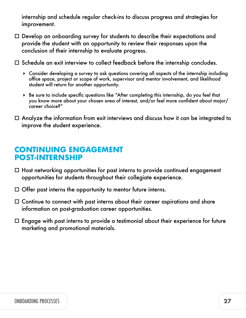internship and schedule regular check-ins to discuss progress and strategies for improvement.

- $\square$  Develop an onboarding survey for students to describe their expectations and provide the student with an opportunity to review their responses upon the conclusion of their internship to evaluate progress.
- $\Box$  Schedule an exit interview to collect feedback before the internship concludes.
	- Consider developing a survey to ask questions covering all aspects of the internship including office space, project or scope of work, supervisor and mentor involvement, and likelihood student will return for another opportunity.
	- Be sure to include specific questions like "After completing this internship, do you feel that you know more about your chosen area of interest, and/or feel more confident about major/ career choice?"
- $\Box$  Analyze the information from exit interviews and discuss how it can be integrated to improve the student experience.

## **CONTINUING ENGAGEMENT POST-INTERNSHIP**

- $\Box$  Host networking opportunities for past interns to provide continued engagement opportunities for students throughout their collegiate experience.
- $\Box$  Offer past interns the opportunity to mentor future interns.
- $\Box$  Continue to connect with past interns about their career aspirations and share information on post-graduation career opportunities.
- $\Box$  Engage with past interns to provide a testimonial about their experience for future marketing and promotional materials.